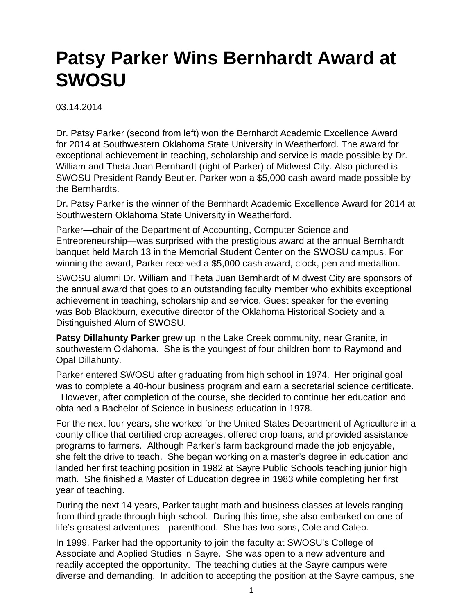## **Patsy Parker Wins Bernhardt Award at SWOSU**

03.14.2014

Dr. Patsy Parker (second from left) won the Bernhardt Academic Excellence Award for 2014 at Southwestern Oklahoma State University in Weatherford. The award for exceptional achievement in teaching, scholarship and service is made possible by Dr. William and Theta Juan Bernhardt (right of Parker) of Midwest City. Also pictured is SWOSU President Randy Beutler. Parker won a \$5,000 cash award made possible by the Bernhardts.

Dr. Patsy Parker is the winner of the Bernhardt Academic Excellence Award for 2014 at Southwestern Oklahoma State University in Weatherford.

Parker—chair of the Department of Accounting, Computer Science and Entrepreneurship—was surprised with the prestigious award at the annual Bernhardt banquet held March 13 in the Memorial Student Center on the SWOSU campus. For winning the award, Parker received a \$5,000 cash award, clock, pen and medallion.

SWOSU alumni Dr. William and Theta Juan Bernhardt of Midwest City are sponsors of the annual award that goes to an outstanding faculty member who exhibits exceptional achievement in teaching, scholarship and service. Guest speaker for the evening was Bob Blackburn, executive director of the Oklahoma Historical Society and a Distinguished Alum of SWOSU.

**Patsy Dillahunty Parker** grew up in the Lake Creek community, near Granite, in southwestern Oklahoma. She is the youngest of four children born to Raymond and Opal Dillahunty.

Parker entered SWOSU after graduating from high school in 1974. Her original goal was to complete a 40-hour business program and earn a secretarial science certificate.

 However, after completion of the course, she decided to continue her education and obtained a Bachelor of Science in business education in 1978.

For the next four years, she worked for the United States Department of Agriculture in a county office that certified crop acreages, offered crop loans, and provided assistance programs to farmers. Although Parker's farm background made the job enjoyable, she felt the drive to teach. She began working on a master's degree in education and landed her first teaching position in 1982 at Sayre Public Schools teaching junior high math. She finished a Master of Education degree in 1983 while completing her first year of teaching.

During the next 14 years, Parker taught math and business classes at levels ranging from third grade through high school. During this time, she also embarked on one of life's greatest adventures—parenthood. She has two sons, Cole and Caleb.

In 1999, Parker had the opportunity to join the faculty at SWOSU's College of Associate and Applied Studies in Sayre. She was open to a new adventure and readily accepted the opportunity. The teaching duties at the Sayre campus were diverse and demanding. In addition to accepting the position at the Sayre campus, she